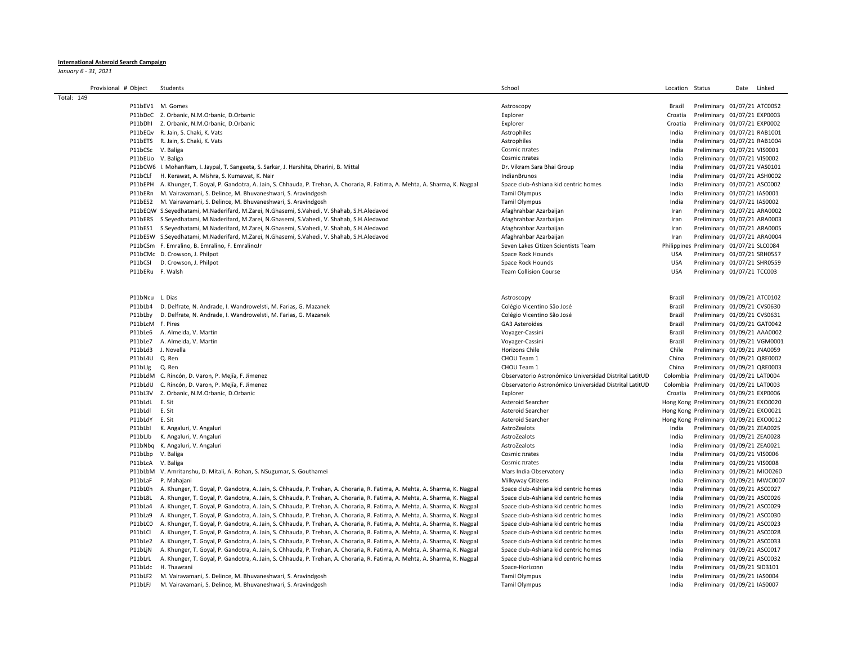## International Asteroid Search Campaign

January 6 - 31, 2021

| Provisional # Object | Students                                                                                                                          | School                                                 | Location Status |                                          | Date | Linked |
|----------------------|-----------------------------------------------------------------------------------------------------------------------------------|--------------------------------------------------------|-----------------|------------------------------------------|------|--------|
| Total: 149           |                                                                                                                                   |                                                        |                 |                                          |      |        |
|                      | P11bEV1 M. Gomes                                                                                                                  | Astroscopy                                             | Brazil          | Preliminary 01/07/21 ATC0052             |      |        |
|                      | P11bDcC Z. Orbanic, N.M.Orbanic, D.Orbanic                                                                                        | Explorer                                               | Croatia         | Preliminary 01/07/21 EXP0003             |      |        |
|                      | P11bDhl Z. Orbanic, N.M.Orbanic, D.Orbanic                                                                                        | Explorer                                               | Croatia         | Preliminary 01/07/21 EXP0002             |      |        |
|                      | P11bEQv R. Jain, S. Chaki, K. Vats                                                                                                | Astrophiles                                            | India           | Preliminary 01/07/21 RAB1001             |      |        |
|                      | P11bETS R. Jain, S. Chaki, K. Vats                                                                                                | Astrophiles                                            | India           | Preliminary 01/07/21 RAB1004             |      |        |
|                      | P11bCSc V. Baliga                                                                                                                 | Cosmic πrates                                          | India           | Preliminary 01/07/21 VIS0001             |      |        |
|                      | P11bEUo V. Baliga                                                                                                                 | Cosmic πrates                                          |                 |                                          |      |        |
|                      |                                                                                                                                   |                                                        | India           | Preliminary 01/07/21 VIS0002             |      |        |
|                      | P11bCW6 I. MohanRam, I. Jaypal, T. Sangeeta, S. Sarkar, J. Harshita, Dharini, B. Mittal                                           | Dr. Vikram Sara Bhai Group                             | India           | Preliminary 01/07/21 VAS0101             |      |        |
| P11bCLf              | H. Kerawat, A. Mishra, S. Kumawat, K. Nair                                                                                        | IndianBrunos                                           | India           | Preliminary 01/07/21 ASH0002             |      |        |
|                      | P11bEPH A. Khunger, T. Goyal, P. Gandotra, A. Jain, S. Chhauda, P. Trehan, A. Choraria, R. Fatima, A. Mehta, A. Sharma, K. Nagpal | Space club-Ashiana kid centric homes                   | India           | Preliminary 01/07/21 ASC0002             |      |        |
|                      | P11bERn M. Vairavamani, S. Delince, M. Bhuvaneshwari, S. Aravindgosh                                                              | <b>Tamil Olympus</b>                                   | India           | Preliminary 01/07/21 IAS0001             |      |        |
| P11bES2              | M. Vairavamani, S. Delince, M. Bhuvaneshwari, S. Aravindgosh                                                                      | <b>Tamil Olympus</b>                                   | India           | Preliminary 01/07/21 IAS0002             |      |        |
|                      | P11bEQW S.Seyedhatami, M.Naderifard, M.Zarei, N.Ghasemi, S.Vahedi, V. Shahab, S.H.Aledavod                                        | Afaghrahbar Azarbaijan                                 | Iran            | Preliminary 01/07/21 ARA0002             |      |        |
| P11bERS              | S.Seyedhatami, M.Naderifard, M.Zarei, N.Ghasemi, S.Vahedi, V. Shahab, S.H.Aledavod                                                | Afaghrahbar Azarbaijan                                 | Iran            | Preliminary 01/07/21 ARA0003             |      |        |
|                      | P11bES1 S.Seyedhatami, M.Naderifard, M.Zarei, N.Ghasemi, S.Vahedi, V. Shahab, S.H.Aledavod                                        | Afaghrahbar Azarbaijan                                 | Iran            | Preliminary 01/07/21 ARA0005             |      |        |
|                      | P11bESW S.Seyedhatami, M.Naderifard, M.Zarei, N.Ghasemi, S.Vahedi, V. Shahab, S.H.Aledavod                                        | Afaghrahbar Azarbaijan                                 | Iran            | Preliminary 01/07/21 ARA0004             |      |        |
|                      | P11bCSm F. Emralino, B. Emralino, F. EmralinoJr                                                                                   | Seven Lakes Citizen Scientists Team                    |                 | Philippines Preliminary 01/07/21 SLC0084 |      |        |
|                      | P11bCMc D. Crowson, J. Philpot                                                                                                    | Space Rock Hounds                                      | <b>USA</b>      | Preliminary 01/07/21 SRH0557             |      |        |
| P11bCSI              | D. Crowson, J. Philpot                                                                                                            | Space Rock Hounds                                      | <b>USA</b>      | Preliminary 01/07/21 SHR0559             |      |        |
|                      | P11bERu F. Walsh                                                                                                                  | <b>Team Collision Course</b>                           | <b>USA</b>      | Preliminary 01/07/21 TCC003              |      |        |
|                      |                                                                                                                                   |                                                        |                 |                                          |      |        |
|                      |                                                                                                                                   |                                                        |                 |                                          |      |        |
| P11bNcu L. Dias      |                                                                                                                                   | Astroscopy                                             | Brazil          | Preliminary 01/09/21 ATC0102             |      |        |
| P11bLb4              | D. Delfrate, N. Andrade, I. Wandrowelsti, M. Farias, G. Mazanek                                                                   | Colégio Vicentino São José                             | Brazil          | Preliminary 01/09/21 CVS0630             |      |        |
| P11bLbv              | D. Delfrate, N. Andrade, I. Wandrowelsti, M. Farias, G. Mazanek                                                                   | Colégio Vicentino São José                             | Brazil          | Preliminary 01/09/21 CVS0631             |      |        |
|                      | P11bLcM F. Pires                                                                                                                  | GA3 Asteroides                                         | Brazil          | Preliminary 01/09/21 GAT0042             |      |        |
|                      | P11bLe6 A. Almeida, V. Martin                                                                                                     | Voyager-Cassini                                        | Brazil          | Preliminary 01/09/21 AAA0002             |      |        |
| P11bLe7              | A. Almeida, V. Martin                                                                                                             | Voyager-Cassini                                        | Brazil          | Preliminary 01/09/21 VGM0001             |      |        |
| P11bLd3              | J. Novella                                                                                                                        | <b>Horizons Chile</b>                                  | Chile           | Preliminary 01/09/21 JNA0059             |      |        |
|                      | P11bL4U Q. Ren                                                                                                                    | CHOU Team 1                                            | China           | Preliminary 01/09/21 QRE0002             |      |        |
|                      |                                                                                                                                   |                                                        |                 |                                          |      |        |
| P11bLJg              | Q. Ren                                                                                                                            | CHOU Team 1                                            | China           | Preliminary 01/09/21 QRE0003             |      |        |
|                      | P11bLdM C. Rincón, D. Varon, P. Mejía, F. Jimenez                                                                                 | Observatorio Astronómico Universidad Distrital LatitUD |                 | Colombia Preliminary 01/09/21 LAT0004    |      |        |
|                      | P11bLdU C. Rincón, D. Varon, P. Mejía, F. Jimenez                                                                                 | Observatorio Astronómico Universidad Distrital LatitUD |                 | Colombia Preliminary 01/09/21 LAT0003    |      |        |
| P11bL3V              | Z. Orbanic, N.M.Orbanic, D.Orbanic                                                                                                | Explorer                                               | Croatia         | Preliminary 01/09/21 EXP0006             |      |        |
| P11bLdL E. Sit       |                                                                                                                                   | Asteroid Searcher                                      |                 | Hong Kong Preliminary 01/09/21 EXO0020   |      |        |
| P11bLdl              | E. Sit                                                                                                                            | Asteroid Searcher                                      |                 | Hong Kong Preliminary 01/09/21 EXO0021   |      |        |
| P11bLdY              | E. Sit                                                                                                                            | Asteroid Searcher                                      |                 | Hong Kong Preliminary 01/09/21 EXO0012   |      |        |
| P11bLbI              | K. Angaluri, V. Angaluri                                                                                                          | AstroZealots                                           | India           | Preliminary 01/09/21 ZEA0025             |      |        |
| P11bLJb              | K. Angaluri, V. Angaluri                                                                                                          | AstroZealots                                           | India           | Preliminary 01/09/21 ZEA0028             |      |        |
| P11bNbq              | K. Angaluri, V. Angaluri                                                                                                          | AstroZealots                                           | India           | Preliminary 01/09/21 ZEA0021             |      |        |
| P11bLbp              | V. Baliga                                                                                                                         | Cosmic πrates                                          | India           | Preliminary 01/09/21 VIS0006             |      |        |
|                      | P11bLcA V. Baliga                                                                                                                 | Cosmic πrates                                          | India           | Preliminary 01/09/21 VIS0008             |      |        |
|                      | P11bLbM V. Amritanshu, D. Mitali, A. Rohan, S. NSugumar, S. Gouthamei                                                             | Mars India Observatory                                 | India           | Preliminary 01/09/21 MIO0260             |      |        |
| P11bLaF              | P. Mahajani                                                                                                                       | Milkyway Citizens                                      | India           | Preliminary 01/09/21 MWC0007             |      |        |
| P11bL0h              | A. Khunger, T. Goyal, P. Gandotra, A. Jain, S. Chhauda, P. Trehan, A. Choraria, R. Fatima, A. Mehta, A. Sharma, K. Nagpal         | Space club-Ashiana kid centric homes                   | India           | Preliminary 01/09/21 ASC0027             |      |        |
| P11bL8L              | A. Khunger, T. Goyal, P. Gandotra, A. Jain, S. Chhauda, P. Trehan, A. Choraria, R. Fatima, A. Mehta, A. Sharma, K. Nagpal         | Space club-Ashiana kid centric homes                   | India           | Preliminary 01/09/21 ASC0026             |      |        |
| P11bLa4              | A. Khunger, T. Goyal, P. Gandotra, A. Jain, S. Chhauda, P. Trehan, A. Choraria, R. Fatima, A. Mehta, A. Sharma, K. Nagpal         | Space club-Ashiana kid centric homes                   | India           | Preliminary 01/09/21 ASC0029             |      |        |
| P11bLa9              | A. Khunger, T. Goyal, P. Gandotra, A. Jain, S. Chhauda, P. Trehan, A. Choraria, R. Fatima, A. Mehta, A. Sharma, K. Nagpal         | Space club-Ashiana kid centric homes                   | India           | Preliminary 01/09/21 ASC0030             |      |        |
| P11bLC0              | A. Khunger, T. Goyal, P. Gandotra, A. Jain, S. Chhauda, P. Trehan, A. Choraria, R. Fatima, A. Mehta, A. Sharma, K. Nagpal         | Space club-Ashiana kid centric homes                   | India           | Preliminary 01/09/21 ASC0023             |      |        |
| P11bLCl              | A. Khunger, T. Goyal, P. Gandotra, A. Jain, S. Chhauda, P. Trehan, A. Choraria, R. Fatima, A. Mehta, A. Sharma, K. Nagpal         | Space club-Ashiana kid centric homes                   | India           | Preliminary 01/09/21 ASC0028             |      |        |
| P11bLe2              | A. Khunger, T. Goyal, P. Gandotra, A. Jain, S. Chhauda, P. Trehan, A. Choraria, R. Fatima, A. Mehta, A. Sharma, K. Nagpal         | Space club-Ashiana kid centric homes                   | India           | Preliminary 01/09/21 ASC0033             |      |        |
| P11bLjN              | A. Khunger, T. Goyal, P. Gandotra, A. Jain, S. Chhauda, P. Trehan, A. Choraria, R. Fatima, A. Mehta, A. Sharma, K. Nagpal         | Space club-Ashiana kid centric homes                   | India           | Preliminary 01/09/21 ASC0017             |      |        |
| P11bLrL              | A. Khunger, T. Goyal, P. Gandotra, A. Jain, S. Chhauda, P. Trehan, A. Choraria, R. Fatima, A. Mehta, A. Sharma, K. Nagpal         | Space club-Ashiana kid centric homes                   | India           | Preliminary 01/09/21 ASC0032             |      |        |
| P11bLdc              | H. Thawrani                                                                                                                       |                                                        |                 | Preliminary 01/09/21 SID3101             |      |        |
| P11bLF2              | M. Vairavamani, S. Delince, M. Bhuvaneshwari, S. Aravindgosh                                                                      | Space-Horizonn                                         | India<br>India  |                                          |      |        |
|                      |                                                                                                                                   | <b>Tamil Olympus</b>                                   |                 | Preliminary 01/09/21 IAS0004             |      |        |
| P11bLFJ              | M. Vairavamani, S. Delince, M. Bhuvaneshwari, S. Aravindgosh                                                                      | <b>Tamil Olympus</b>                                   | India           | Preliminary 01/09/21 IAS0007             |      |        |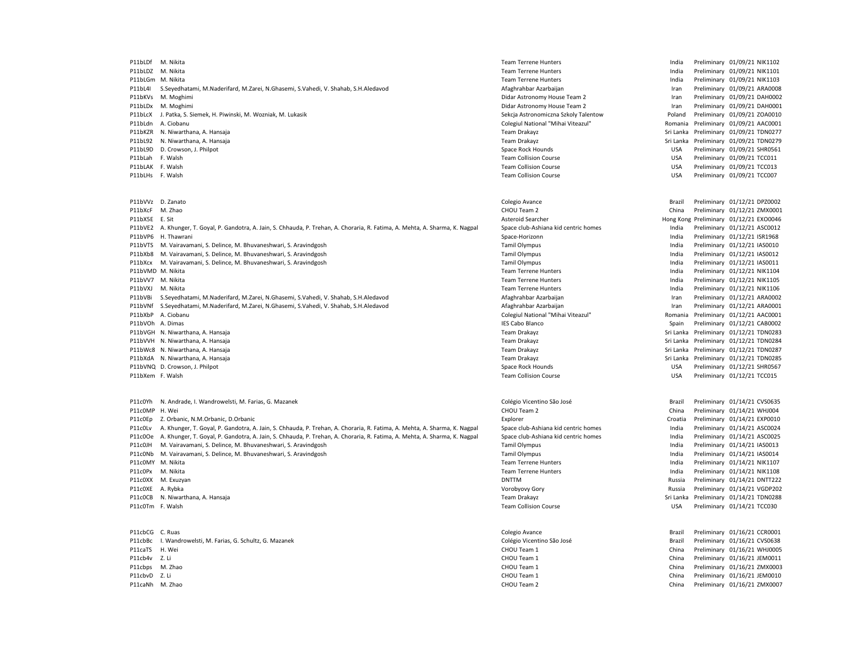P11bLDf M. Nikita **Team Terrene Hunters** Team Terrene Hunters **Team Terrene Hunters** India Preliminary 01/09/21 NIK1102 P11bLDZ M. Nikita **Preliminary 01/09/21 NIK1101** Team Terrene Hunters **Team Terrene Hunters** India Preliminary 01/09/21 NIK1101 P11bLGm M. Nikita **Team Terrene Hunters** Team Terrene Hunters **Team Terrene Hunters** India Preliminary 01/09/21 NIK1103 P11bL4I S.Seyedhatami, M.Naderifard, M.Zarei, N.Ghasemi, S.Vahedi, V. Shahab, S.H.Aledavod **Arabu, Afaghrahbar Azarbaijan** Afaghrahbar Azarbaijan Preliminary 01/09/21 ARA0008 P11bKVs M. Moghimi Didar Astronomy House Team 2 Iran Preliminary 01/09/21 DAH0002 P11bLDx M. Moghimi **Philadella and Contact Astronomy House Team 2** Iran Preliminary 01/09/21 DAH0001 P11bLcX J. Patka, S. Siemek, H. Piwinski, M. Wozniak, M. Lukasik Sekcja Astronomiczna Szkoly Talentow Poland Preliminary 01/09/21 ZOA0010 P11bLdn A. Ciobanu Colegiul National "Mihai Viteazul" Romania Preliminary 01/09/21 AAC0001 P11bKZR N. Niwarthana, A. Hansaja Sri Lanka Sri Lanka Sri Lanka Preliminary 01/09/21 TDN0277 P11bL92 N. Niwarthana, A. Hansaja Sri Lanka Sri Lanka Preliminary 01/09/21 TDN0279 Team Drakayz Sri Lanka Preliminary 01/09/21 TDN0279 P11bL9D D. Crowson, J. Philpot Space Rock Hounds Space Rock Hounds Space Rock Hounds USA Preliminary 01/09/21 SHR0561 P11bLah F. Walsh Team Collision Course Team Collision Course Team Collision Course USA Preliminary 01/09/21 TCC011 P11bLAK F. Walsh Number 2012 1202/21 TCC013 P11bLHs F. Walsh Team Collision Course USA Preliminary 01/09/21 TCC007 P11bVVz D. Zanato Colegio Avance Brazil Preliminary 01/12/21 DPZ0002 P11bXcF M. Zhao CHOU Team 2 China Preliminary 01/12/21 ZMX0001 P11bX5E E. Sit **Asteroid Searcher** Asteroid Searcher Hong Kong Preliminary 01/12/21 EXO0046 P11bVE2 A. Khunger, T. Goyal, P. Gandotra, A. Jain, S. Chhauda, P. Trehan, A. Choraria, R. Fatima, A. Mehta, A. Sharma, K. Nagpal Space club-Ashiana kid centric homes India Preliminary 01/12/21 ASC0012 P11bVP6 H. Thawrani **Space-Horizonn** Space-Horizonn Space-Horizonn Space-Horizonn India Preliminary 01/12/21 ISR1968 P11bVTS M. Vairavamani, S. Delince, M. Bhuvaneshwari, S. Aravindgosh Tamil Olympus India Preliminary 01/12/21 IAS0010 P11bXb8 M. Vairavamani, S. Delince, M. Bhuvaneshwari, S. Aravindgosh Tamil Olympus India Preliminary 01/12/21 IAS0012 P11bXcx M. Vairavamani, S. Delince, M. Bhuvaneshwari, S. Aravindgosh Tamil Olympus India Preliminary 01/12/21 IAS0011 P11bVMD M. Nikita **Preliminary 01/12/21 NIK1104** Team Terrene Hunters **Team Terrene Hunters** India Preliminary 01/12/21 NIK1104 P11bVV7 M. Nikita **Team Terrene Hunters** Team Terrene Hunters **Team Terrene Hunters** India Preliminary 01/12/21 NIK1105 P11bVXJ M. Nikita **Team Terrene Hunters** Team Terrene Hunters **Team Terrene Hunters** India Preliminary 01/12/21 NIK1106 P11bVBi S.Seyedhatami, M.Naderifard, M.Zarei, N.Ghasemi, S.Vahedi, V. Shahab, S.H.Aledavod **Afaghrahbar Azarbaijan** Afaghrahbar Azarbaijan **Iran Preliminary 01/12/21 ARA0002** P11bVNf S.Seyedhatami, M.Naderifard, M.Zarei, N.Ghasemi, S.Vahedi, V. Shahab, S.H.Aledavod **Afaghrahbar Azarbaijan Azarbaijan** Iran Preliminary 01/12/21 ARA0001 P11bXbP A. Ciobanu Preliminary 01/12/21 AAC0001 P11bXbP A. Ci P11bXbP A. Ciobanu 20112/21 AAC0001 P11bXbP A. Ciobanu Colegiul National "Mihai Viteazul" Romania Preliminary 01/12/21 AAC0001<br>P11bVOh A. Dimas Preliminary 01/12/21 CAB0002 P11bVOh A. Dimas **IES Cabo Blanco** IES Cabo Blanco Spain Preliminary 01/12/21 CAB0002 P11bVGH N. Niwarthana, A. Hansaja **Namus and Sri Lanka Preliminary 01/12/21 TDN0283** Team Drakayz Sri Lanka Preliminary 01/12/21 TDN0283 P11bVVH N. Niwarthana, A. Hansaja Sri Lanka Sri Lanka Preliminary 01/12/21 TDN0284 P11bWc8 N. Niwarthana, A. Hansaja **Namus and Sri Lanka Preliminary 01/12/21 TDN0287** Team Drakayz Sri Lanka Preliminary 01/12/21 TDN0287 P11bXdA N. Niwarthana, A. Hansaja Sri Lanka Sri Lanka Preliminary 01/12/21 TDN0285 P11bVNQ D. Crowson, J. Philpot North Space Rock Hounds Space Rock Hounds Space Rock Hounds USA Preliminary 01/12/21 SHR0567 P11bXem F. Walsh Team Collision Course USA Preliminary 01/12/21 TCC015 P2 Colégio Vicentino São José Brazil Preliminary 01/14/21 CVS0635<br>P11c0MP H. Wei China Preliminary 01/14/21 WHJ004<br>P11c0MP H. Wei China Preliminary 01/14/21 WHJ004 P11c0MP H. Wei CHOU Team 2 CHOU Team 2 CHOU Team 2 CHOU Team 2 China Preliminary 01/14/21 WHJ004 P11c0Ep Z. Orbanic, N.M.Orbanic, D.Orbanic Comparison Croatia Preliminary 01/14/21 EXP0010 P11c0Lv A. Khunger, T. Goyal, P. Gandotra, A. Jain, S. Chhauda, P. Trehan, A. Choraria, R. Fatima, A. Mehta, A. Sharma, K. Nagpal Space club-Ashiana kid centric homes India Preliminary 01/14/21 ASC0024 P11c0Oe A. Khunger, T. Goyal, P. Gandotra, A. Jain, S. Chhauda, P. Trehan, A. Choraria, R. Fatima, A. Mehta, A. Sharma, K. Nagpal Space club-Ashiana kid centric homes India Preliminary 01/14/21 ASC0025 P11c0JH M. Vairavamani, S. Delince, M. Bhuvaneshwari, S. Aravindgosh Tamil Olympus India Preliminary 01/14/21 IAS0013 P11c0Nb M. Vairavamani, S. Delince, M. Bhuvaneshwari, S. Aravindgosh Tamil Olympus India Preliminary 01/14/21 IAS0014 P11c0MY M. Nikita **Team Terrene Hunters** Team Terrene Hunters **Team Terrene Hunters** India Preliminary 01/14/21 NIK1107 P11c0Px M. Nikita **Team Terrene Hunters** Team Terrene Hunters **Team Terrene Hunters** India Preliminary 01/14/21 NIK1108 P11c0XX M. Exuzyan DNTTM Russia Preliminary 01/14/21 DNTT222 P11c0XE A. Rybka Vorobyovy Gory Russia Preliminary 01/14/21 VGDP202 P11c0CB N. Niwarthana, A. Hansaja Sri Lanka Preliminary 01/14/21 TDN0288 P11c0Tm F. Walsh Number 2012 12 2030 Team Collision Course Team Collision Course 2013 USA Preliminary 01/14/21 TCC030 P11cbCG C. Ruas Colegio Avance Brazil Preliminary 01/16/21 CCR0001 P11cbBc I. Wandrowelsti, M. Farias, G. Schultz, G. Mazanek Colégio Vicentino São José Brazil Preliminary 1997<br>Preliminary 1997 - China China China China China China China China China China China China China China China C P11caTS H. Wei CHOU Team 1 CHOU Team 1 CHOU Team 1 CHOU Team 1 CHOU Team 1 China Preliminary 01/16/21 WHJ0005 P11cb4v Z. Li CHOU Team 1 CHOU Team 1 CHOU Team 1 CHOU Team 1 China Preliminary 01/16/21 JEM0011 P11cbps M. Zhao CHOU Team 1 CHOU Team 1 CHOU Team 1 CHOU Team 1 China Preliminary 01/16/21 ZMX0003 P11cbvD Z. Li CHOU Team 1 CHOU Team 1 CHOU Team 1 CHOU Team 1 CHOU Team 1 China Preliminary 01/16/21 JEM0010 P11caNh M. Zhao CHOU Team 2 China Preliminary 01/16/21 ZMX0007